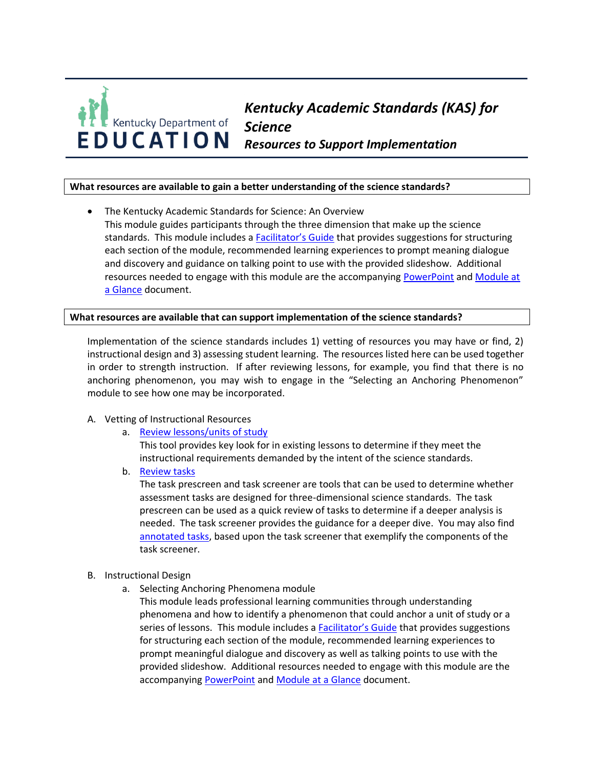

# *Kentucky Academic Standards (KAS) for Science Resources to Support Implementation*

# **What resources are available to gain a better understanding of the science standards?**

• The Kentucky Academic Standards for Science: An Overview This module guides participants through the three dimension that make up the science standards. This module includes a [Facilitator's Guide](https://education.ky.gov/curriculum/standards/kyacadstand/Documents/Facilitator) that provides suggestions for structuring each section of the module, recommended learning experiences to prompt meaning dialogue and discovery and guidance on talking point to use with the provided slideshow. Additional resources needed to engage with this module are the accompanying [PowerPoint](https://education.ky.gov/curriculum/standards/kyacadstand/Documents/Kentucky_Academic_Standards_for_Science_An_Overview_Module.pptx) and [Module at](https://education.ky.gov/curriculum/standards/kyacadstand/Documents/Module_at_a_Glace_The_KAS_for_Science_An_Overview_Module.pdf)  [a Glance](https://education.ky.gov/curriculum/standards/kyacadstand/Documents/Module_at_a_Glace_The_KAS_for_Science_An_Overview_Module.pdf) document.

### **What resources are available that can support implementation of the science standards?**

Implementation of the science standards includes 1) vetting of resources you may have or find, 2) instructional design and 3) assessing student learning. The resources listed here can be used together in order to strength instruction. If after reviewing lessons, for example, you find that there is no anchoring phenomenon, you may wish to engage in the "Selecting an Anchoring Phenomenon" module to see how one may be incorporated.

#### A. Vetting of Instructional Resources

a. [Review lessons/units of study](https://www.nextgenscience.org/screener)

This tool provides key look for in existing lessons to determine if they meet the instructional requirements demanded by the intent of the science standards.

b. [Review tasks](https://www.nextgenscience.org/taskscreener)

The task prescreen and task screener are tools that can be used to determine whether assessment tasks are designed for three-dimensional science standards. The task prescreen can be used as a quick review of tasks to determine if a deeper analysis is needed. The task screener provides the guidance for a deeper dive. You may also find [annotated tasks,](https://www.achieve.org/our-initiatives/equip/tools-subject/science/task-annotation-project-science) based upon the task screener that exemplify the components of the task screener.

#### B. Instructional Design

a. Selecting Anchoring Phenomena module

This module leads professional learning communities through understanding phenomena and how to identify a phenomenon that could anchor a unit of study or a series of lessons. This module includes a **[Facilitator's Guide](https://education.ky.gov/curriculum/standards/kyacadstand/Documents/Facilitator_Guide_Selecting_Anchoring_Phenomena_for_Equitable_Three-Dimensional_Teaching.pdf) that provides suggestions** for structuring each section of the module, recommended learning experiences to prompt meaningful dialogue and discovery as well as talking points to use with the provided slideshow. Additional resources needed to engage with this module are the accompanying [PowerPoint](https://education.ky.gov/curriculum/standards/kyacadstand/Documents/Selecting_Anchoring_Phenomena_for_Equitable_Three-Dimensional_Teaching_Module.pptxhttps:/education.ky.gov/curriculum/standards/kyacadstand/Documents/Facilitator_Guide_Selecting_Anchoring_Phenomena_for_Equitable_Three-Dimensional_Teaching.pdf) and [Module at a Glance](https://education.ky.gov/curriculum/standards/kyacadstand/Documents/Anchoring_Phenomena_Module_at_a_Glance.pdf) document.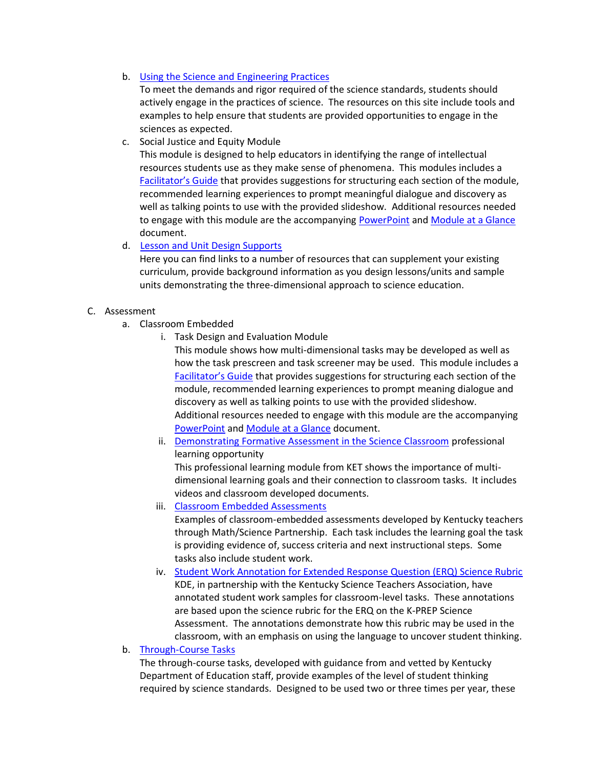b. [Using the Science and Engineering Practices](https://www.sciencepracticesleadership.com/)

To meet the demands and rigor required of the science standards, students should actively engage in the practices of science. The resources on this site include tools and examples to help ensure that students are provided opportunities to engage in the sciences as expected.

c. Social Justice and Equity Module

This module is designed to help educators in identifying the range of intellectual resources students use as they make sense of phenomena. This modules includes a [Facilitator's Guide](https://education.ky.gov/curriculum/standards/kyacadstand/Documents/Social_Justice_and_Equity_Facilitator_Guide.pdf) that provides suggestions for structuring each section of the module, recommended learning experiences to prompt meaningful dialogue and discovery as well as talking points to use with the provided slideshow. Additional resources needed to engage with this module are the accompanying [PowerPoint](https://education.ky.gov/curriculum/standards/kyacadstand/Documents/Social_Justice_and_Equity_Module.pptx) and [Module at a Glance](https://education.ky.gov/curriculum/standards/kyacadstand/Documents/Module_at_a_Glance_Social_Justice_and_Equity_in_Science.pdf) document.

d. [Lesson and Unit Design Supports](https://education.ky.gov/curriculum/conpro/science/Pages/Science-Web-Links.aspx)

Here you can find links to a number of resources that can supplement your existing curriculum, provide background information as you design lessons/units and sample units demonstrating the three-dimensional approach to science education.

# C. Assessment

- a. Classroom Embedded
	- i. Task Design and Evaluation Module

This module shows how multi-dimensional tasks may be developed as well as how the task prescreen and task screener may be used. This module includes a [Facilitator's Guide](https://education.ky.gov/curriculum/standards/kyacadstand/Documents/Three-Dimensional_Science_Tasks_Facilitator_Guide.pdfhttps:/education.ky.gov/curriculum/standards/kyacadstand/Documents/Facilitator_Guide_Selecting_Anchoring_Phenomena_for_Equitable_Three-Dimensional_Teaching.pdf) that provides suggestions for structuring each section of the module, recommended learning experiences to prompt meaning dialogue and discovery as well as talking points to use with the provided slideshow. Additional resources needed to engage with this module are the accompanying [PowerPoint](https://education.ky.gov/curriculum/standards/kyacadstand/Documents/Three-Dimensional_Science_Tasks_Module.pptxhttps:/education.ky.gov/curriculum/standards/kyacadstand/Documents/Selecting_Anchoring_Phenomena_for_Equitable_Three-Dimensional_Teaching_Module.pptx) and [Module at a Glance](https://education.ky.gov/curriculum/standards/kyacadstand/Documents/Module_at_a_Glance_Three-Dimensional_Tasks.pdf) document.

- ii. [Demonstrating Formative Assessment in the Science Classroom](https://ket.pbslearningmedia.org/resource/ket-pd-formative-assessment-science/formative-assessment-in-the-science-classroom/) professional learning opportunity This professional learning module from KET shows the importance of multidimensional learning goals and their connection to classroom tasks. It includes videos and classroom developed documents.
- iii. [Classroom Embedded Assessments](https://nam02.safelinks.protection.outlook.com/?url=https%3A%2F%2Flouisville.edu%2Feducation%2Fcenters%2Fcrimsted%2Fcea-examples&data=02%7C01%7Cassess-admins%40listserve.eku.edu%7C3392e15160044ef6abcd08d6c4435d9d%7Ce23043271af04dee83fbc1b2fd6db0bb%7C0%7C1%7C636912190949774599&sdata=hTmXcYTpDT3JbcDOUcb9rHB8ghbWbEAX8mDn21Jr5ug%3D&reserved=0) Examples of classroom-embedded assessments developed by Kentucky teachers through Math/Science Partnership. Each task includes the learning goal the task is providing evidence of, success criteria and next instructional steps. Some tasks also include student work.
- iv. [Student Work Annotation for Extended Response Question \(ERQ\) Science Rubric](https://education.ky.gov/curriculum/conpro/science/Pages/Science-Assessment.aspx) KDE, in partnership with the Kentucky Science Teachers Association, have annotated student work samples for classroom-level tasks. These annotations are based upon the science rubric for the ERQ on the K-PREP Science Assessment. The annotations demonstrate how this rubric may be used in the classroom, with an emphasis on using the language to uncover student thinking.

## b. [Through-Course Tasks](https://education.ky.gov/curriculum/conpro/science/Pages/tct.aspx)

The through-course tasks, developed with guidance from and vetted by Kentucky Department of Education staff, provide examples of the level of student thinking required by science standards. Designed to be used two or three times per year, these